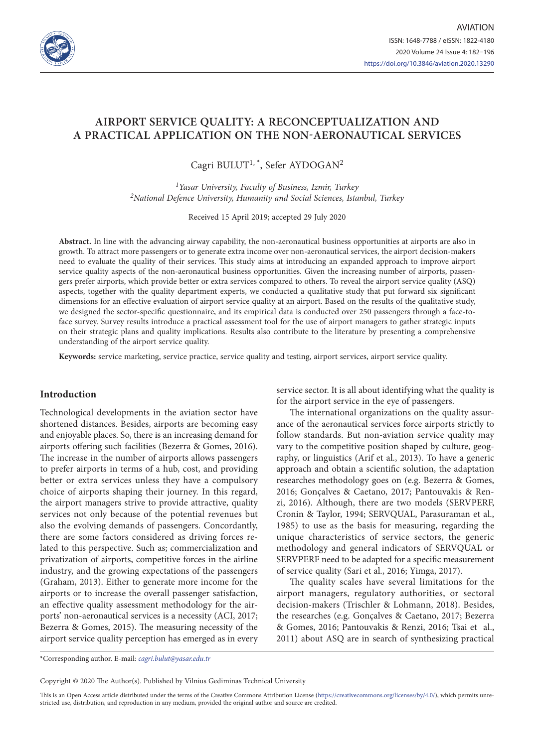

# **AIRPORT SERVICE QUALITY: A RECONCEPTUALIZATION AND A PRACTICAL APPLICATION ON THE NON-AERONAUTICAL SERVICES**

Cagri BULUT<sup>1, \*</sup>, Sefer AYDOGAN<sup>2</sup>

*1Yasar University, Faculty of Business, Izmir, Turkey 2National Defence University, Humanity and Social Sciences, Istanbul, Turkey*

Received 15 April 2019; accepted 29 July 2020

**Abstract.** In line with the advancing airway capability, the non-aeronautical business opportunities at airports are also in growth. To attract more passengers or to generate extra income over non-aeronautical services, the airport decision-makers need to evaluate the quality of their services. This study aims at introducing an expanded approach to improve airport service quality aspects of the non-aeronautical business opportunities. Given the increasing number of airports, passengers prefer airports, which provide better or extra services compared to others. To reveal the airport service quality (ASQ) aspects, together with the quality department experts, we conducted a qualitative study that put forward six significant dimensions for an effective evaluation of airport service quality at an airport. Based on the results of the qualitative study, we designed the sector-specific questionnaire, and its empirical data is conducted over 250 passengers through a face-toface survey. Survey results introduce a practical assessment tool for the use of airport managers to gather strategic inputs on their strategic plans and quality implications. Results also contribute to the literature by presenting a comprehensive understanding of the airport service quality.

**Keywords:** service marketing, service practice, service quality and testing, airport services, airport service quality.

## **Introduction**

Technological developments in the aviation sector have shortened distances. Besides, airports are becoming easy and enjoyable places. So, there is an increasing demand for airports offering such facilities (Bezerra & Gomes, 2016). The increase in the number of airports allows passengers to prefer airports in terms of a hub, cost, and providing better or extra services unless they have a compulsory choice of airports shaping their journey. In this regard, the airport managers strive to provide attractive, quality services not only because of the potential revenues but also the evolving demands of passengers. Concordantly, there are some factors considered as driving forces related to this perspective. Such as; commercialization and privatization of airports, competitive forces in the airline industry, and the growing expectations of the passengers (Graham, 2013). Either to generate more income for the airports or to increase the overall passenger satisfaction, an effective quality assessment methodology for the airports' non-aeronautical services is a necessity (ACI, 2017; Bezerra & Gomes, 2015). The measuring necessity of the airport service quality perception has emerged as in every

service sector. It is all about identifying what the quality is for the airport service in the eye of passengers.

The international organizations on the quality assurance of the aeronautical services force airports strictly to follow standards. But non-aviation service quality may vary to the competitive position shaped by culture, geography, or linguistics (Arif et al., 2013). To have a generic approach and obtain a scientific solution, the adaptation researches methodology goes on (e.g. Bezerra & Gomes, 2016; Gonçalves & Caetano, 2017; Pantouvakis & Renzi, 2016). Although, there are two models (SERVPERF, Cronin & Taylor, 1994; SERVQUAL, Parasuraman et al., 1985) to use as the basis for measuring, regarding the unique characteristics of service sectors, the generic methodology and general indicators of SERVQUAL or SERVPERF need to be adapted for a specific measurement of service quality (Sari et al., 2016; Yimga, 2017).

The quality scales have several limitations for the airport managers, regulatory authorities, or sectoral decision-makers (Trischler & Lohmann, 2018). Besides, the researches (e.g. Gonçalves & Caetano, 2017; Bezerra & Gomes, 2016; Pantouvakis & Renzi, 2016; Tsai et al., 2011) about ASQ are in search of synthesizing practical

\*Corresponding author. E-mail: *cagri.bulut@yasar.edu.tr*

Copyright © 2020 The Author(s). Published by Vilnius Gediminas Technical University

This is an Open Access article distributed under the terms of the Creative Commons Attribution License (https://creativecommons.org/licenses/by/4.0/), which permits unrestricted use, distribution, and reproduction in any medium, provided the original author and source are credited.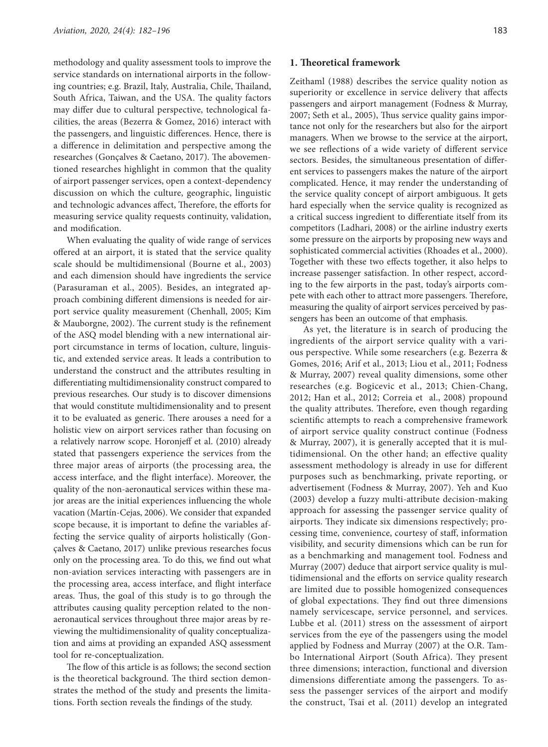methodology and quality assessment tools to improve the service standards on international airports in the following countries; e.g. Brazil, Italy, Australia, Chile, Thailand, South Africa, Taiwan, and the USA. The quality factors may differ due to cultural perspective, technological facilities, the areas (Bezerra & Gomez, 2016) interact with the passengers, and linguistic differences. Hence, there is a difference in delimitation and perspective among the researches (Gonçalves & Caetano, 2017). The abovementioned researches highlight in common that the quality of airport passenger services, open a context-dependency discussion on which the culture, geographic, linguistic and technologic advances affect, Therefore, the efforts for measuring service quality requests continuity, validation, and modification.

When evaluating the quality of wide range of services offered at an airport, it is stated that the service quality scale should be multidimensional (Bourne et al., 2003) and each dimension should have ingredients the service (Parasuraman et al., 2005). Besides, an integrated approach combining different dimensions is needed for airport service quality measurement (Chenhall, 2005; Kim & Mauborgne, 2002). The current study is the refinement of the ASQ model blending with a new international airport circumstance in terms of location, culture, linguistic, and extended service areas. It leads a contribution to understand the construct and the attributes resulting in differentiating multidimensionality construct compared to previous researches. Our study is to discover dimensions that would constitute multidimensionality and to present it to be evaluated as generic. There arouses a need for a holistic view on airport services rather than focusing on a relatively narrow scope. Horonjeff et al. (2010) already stated that passengers experience the services from the three major areas of airports (the processing area, the access interface, and the flight interface). Moreover, the quality of the non-aeronautical services within these major areas are the initial experiences influencing the whole vacation (Martín-Cejas, 2006). We consider that expanded scope because, it is important to define the variables affecting the service quality of airports holistically (Gonçalves & Caetano, 2017) unlike previous researches focus only on the processing area. To do this, we find out what non-aviation services interacting with passengers are in the processing area, access interface, and flight interface areas. Thus, the goal of this study is to go through the attributes causing quality perception related to the nonaeronautical services throughout three major areas by reviewing the multidimensionality of quality conceptualization and aims at providing an expanded ASQ assessment tool for re-conceptualization.

The flow of this article is as follows; the second section is the theoretical background. The third section demonstrates the method of the study and presents the limitations. Forth section reveals the findings of the study.

## **1. Theoretical framework**

Zeithaml (1988) describes the service quality notion as superiority or excellence in service delivery that affects passengers and airport management (Fodness & Murray, 2007; Seth et al., 2005), Thus service quality gains importance not only for the researchers but also for the airport managers. When we browse to the service at the airport, we see reflections of a wide variety of different service sectors. Besides, the simultaneous presentation of different services to passengers makes the nature of the airport complicated. Hence, it may render the understanding of the service quality concept of airport ambiguous. It gets hard especially when the service quality is recognized as a critical success ingredient to differentiate itself from its competitors (Ladhari, 2008) or the airline industry exerts some pressure on the airports by proposing new ways and sophisticated commercial activities (Rhoades et al., 2000). Together with these two effects together, it also helps to increase passenger satisfaction. In other respect, according to the few airports in the past, today's airports compete with each other to attract more passengers. Therefore, measuring the quality of airport services perceived by passengers has been an outcome of that emphasis.

As yet, the literature is in search of producing the ingredients of the airport service quality with a various perspective. While some researchers (e.g. Bezerra & Gomes, 2016; Arif et al., 2013; Liou et al., 2011; Fodness & Murray, 2007) reveal quality dimensions, some other researches (e.g. Bogicevic et al., 2013; Chien-Chang, 2012; Han et al., 2012; Correia et al., 2008) propound the quality attributes. Therefore, even though regarding scientific attempts to reach a comprehensive framework of airport service quality construct continue (Fodness & Murray, 2007), it is generally accepted that it is multidimensional. On the other hand; an effective quality assessment methodology is already in use for different purposes such as benchmarking, private reporting, or advertisement (Fodness & Murray, 2007). Yeh and Kuo (2003) develop a fuzzy multi-attribute decision-making approach for assessing the passenger service quality of airports. They indicate six dimensions respectively; processing time, convenience, courtesy of staff, information visibility, and security dimensions which can be run for as a benchmarking and management tool. Fodness and Murray (2007) deduce that airport service quality is multidimensional and the efforts on service quality research are limited due to possible homogenized consequences of global expectations. They find out three dimensions namely servicescape, service personnel, and services. Lubbe et al. (2011) stress on the assessment of airport services from the eye of the passengers using the model applied by Fodness and Murray (2007) at the O.R. Tambo International Airport (South Africa). They present three dimensions; interaction, functional and diversion dimensions differentiate among the passengers. To assess the passenger services of the airport and modify the construct, Tsai et al. (2011) develop an integrated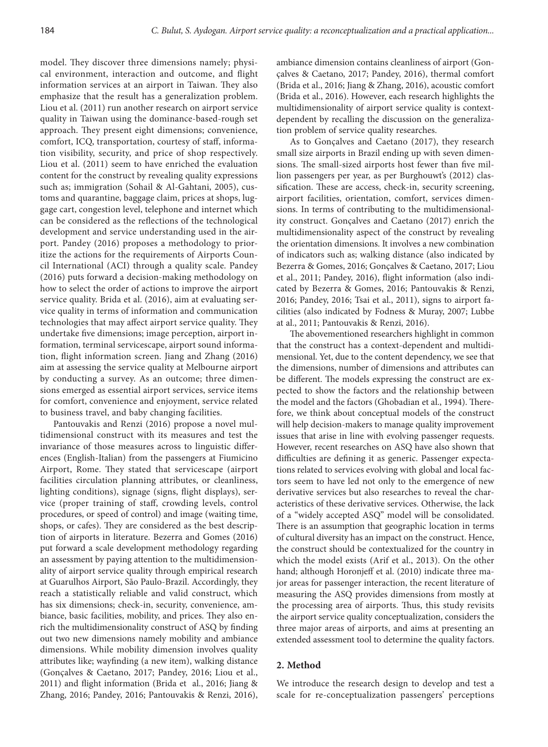model. They discover three dimensions namely; physical environment, interaction and outcome, and flight information services at an airport in Taiwan. They also emphasize that the result has a generalization problem. Liou et al. (2011) run another research on airport service quality in Taiwan using the dominance-based-rough set approach. They present eight dimensions; convenience, comfort, ICQ, transportation, courtesy of staff, information visibility, security, and price of shop respectively. Liou et al. (2011) seem to have enriched the evaluation content for the construct by revealing quality expressions such as; immigration (Sohail & Al-Gahtani, 2005), customs and quarantine, baggage claim, prices at shops, luggage cart, congestion level, telephone and internet which can be considered as the reflections of the technological development and service understanding used in the airport. Pandey (2016) proposes a methodology to prioritize the actions for the requirements of Airports Council International (ACI) through a quality scale. Pandey (2016) puts forward a decision-making methodology on how to select the order of actions to improve the airport service quality. Brida et al. (2016), aim at evaluating service quality in terms of information and communication technologies that may affect airport service quality. They undertake five dimensions; image perception, airport information, terminal servicescape, airport sound information, flight information screen. Jiang and Zhang (2016) aim at assessing the service quality at Melbourne airport by conducting a survey. As an outcome; three dimensions emerged as essential airport services, service items for comfort, convenience and enjoyment, service related to business travel, and baby changing facilities.

Pantouvakis and Renzi (2016) propose a novel multidimensional construct with its measures and test the invariance of those measures across to linguistic differences (English-Italian) from the passengers at Fiumicino Airport, Rome. They stated that servicescape (airport facilities circulation planning attributes, or cleanliness, lighting conditions), signage (signs, flight displays), service (proper training of staff, crowding levels, control procedures, or speed of control) and image (waiting time, shops, or cafes). They are considered as the best description of airports in literature. Bezerra and Gomes (2016) put forward a scale development methodology regarding an assessment by paying attention to the multidimensionality of airport service quality through empirical research at Guarulhos Airport, São Paulo-Brazil. Accordingly, they reach a statistically reliable and valid construct, which has six dimensions; check-in, security, convenience, ambiance, basic facilities, mobility, and prices. They also enrich the multidimensionality construct of ASQ by finding out two new dimensions namely mobility and ambiance dimensions. While mobility dimension involves quality attributes like; wayfinding (a new item), walking distance (Gonçalves & Caetano, 2017; Pandey, 2016; Liou et al., 2011) and flight information (Brida et al., 2016; Jiang & Zhang, 2016; Pandey, 2016; Pantouvakis & Renzi, 2016),

ambiance dimension contains cleanliness of airport (Gonçalves & Caetano, 2017; Pandey, 2016), thermal comfort (Brida et al., 2016; Jiang & Zhang, 2016), acoustic comfort (Brida et al., 2016). However, each research highlights the multidimensionality of airport service quality is contextdependent by recalling the discussion on the generalization problem of service quality researches.

As to Gonçalves and Caetano (2017), they research small size airports in Brazil ending up with seven dimensions. The small-sized airports host fewer than five million passengers per year, as per Burghouwt's (2012) classification. These are access, check-in, security screening, airport facilities, orientation, comfort, services dimensions. In terms of contributing to the multidimensionality construct. Gonçalves and Caetano (2017) enrich the multidimensionality aspect of the construct by revealing the orientation dimensions. It involves a new combination of indicators such as; walking distance (also indicated by Bezerra & Gomes, 2016; Gonçalves & Caetano, 2017; Liou et al., 2011; Pandey, 2016), flight information (also indicated by Bezerra & Gomes, 2016; Pantouvakis & Renzi, 2016; Pandey, 2016; Tsai et al., 2011), signs to airport facilities (also indicated by Fodness & Muray, 2007; Lubbe at al., 2011; Pantouvakis & Renzi, 2016).

The abovementioned researchers highlight in common that the construct has a context-dependent and multidimensional. Yet, due to the content dependency, we see that the dimensions, number of dimensions and attributes can be different. The models expressing the construct are expected to show the factors and the relationship between the model and the factors (Ghobadian et al., 1994). Therefore, we think about conceptual models of the construct will help decision-makers to manage quality improvement issues that arise in line with evolving passenger requests. However, recent researches on ASQ have also shown that difficulties are defining it as generic. Passenger expectations related to services evolving with global and local factors seem to have led not only to the emergence of new derivative services but also researches to reveal the characteristics of these derivative services. Otherwise, the lack of a "widely accepted ASQ" model will be consolidated. There is an assumption that geographic location in terms of cultural diversity has an impact on the construct. Hence, the construct should be contextualized for the country in which the model exists (Arif et al., 2013). On the other hand; although Horonjeff et al. (2010) indicate three major areas for passenger interaction, the recent literature of measuring the ASQ provides dimensions from mostly at the processing area of airports. Thus, this study revisits the airport service quality conceptualization, considers the three major areas of airports, and aims at presenting an extended assessment tool to determine the quality factors.

## **2. Method**

We introduce the research design to develop and test a scale for re-conceptualization passengers' perceptions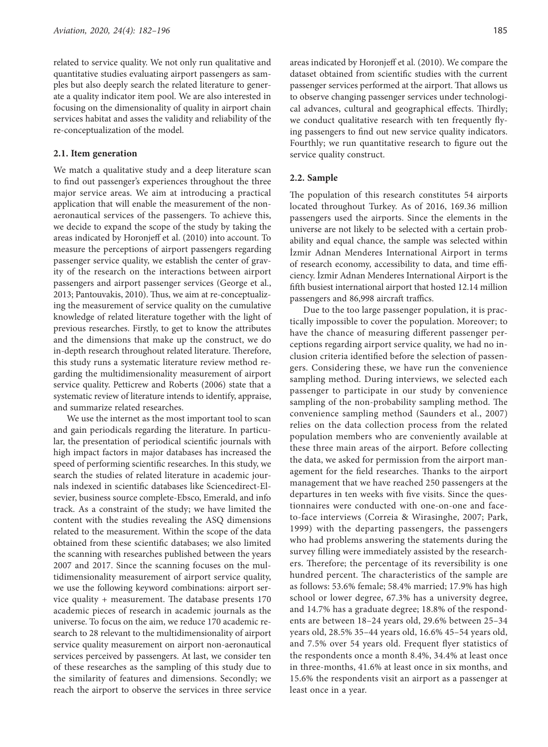related to service quality. We not only run qualitative and quantitative studies evaluating airport passengers as samples but also deeply search the related literature to generate a quality indicator item pool. We are also interested in focusing on the dimensionality of quality in airport chain services habitat and asses the validity and reliability of the re-conceptualization of the model.

#### **2.1. Item generation**

We match a qualitative study and a deep literature scan to find out passenger's experiences throughout the three major service areas. We aim at introducing a practical application that will enable the measurement of the nonaeronautical services of the passengers. To achieve this, we decide to expand the scope of the study by taking the areas indicated by Horonjeff et al. (2010) into account. To measure the perceptions of airport passengers regarding passenger service quality, we establish the center of gravity of the research on the interactions between airport passengers and airport passenger services (George et al., 2013; Pantouvakis, 2010). Thus, we aim at re-conceptualizing the measurement of service quality on the cumulative knowledge of related literature together with the light of previous researches. Firstly, to get to know the attributes and the dimensions that make up the construct, we do in-depth research throughout related literature. Therefore, this study runs a systematic literature review method regarding the multidimensionality measurement of airport service quality. Petticrew and Roberts (2006) state that a systematic review of literature intends to identify, appraise, and summarize related researches.

We use the internet as the most important tool to scan and gain periodicals regarding the literature. In particular, the presentation of periodical scientific journals with high impact factors in major databases has increased the speed of performing scientific researches. In this study, we search the studies of related literature in academic journals indexed in scientific databases like Sciencedirect-Elsevier, business source complete-Ebsco, Emerald, and info track. As a constraint of the study; we have limited the content with the studies revealing the ASQ dimensions related to the measurement. Within the scope of the data obtained from these scientific databases; we also limited the scanning with researches published between the years 2007 and 2017. Since the scanning focuses on the multidimensionality measurement of airport service quality, we use the following keyword combinations: airport service quality + measurement. The database presents 170 academic pieces of research in academic journals as the universe. To focus on the aim, we reduce 170 academic research to 28 relevant to the multidimensionality of airport service quality measurement on airport non-aeronautical services perceived by passengers. At last, we consider ten of these researches as the sampling of this study due to the similarity of features and dimensions. Secondly; we reach the airport to observe the services in three service

areas indicated by Horonjeff et al. (2010). We compare the dataset obtained from scientific studies with the current passenger services performed at the airport. That allows us to observe changing passenger services under technological advances, cultural and geographical effects. Thirdly; we conduct qualitative research with ten frequently flying passengers to find out new service quality indicators. Fourthly; we run quantitative research to figure out the service quality construct.

### **2.2. Sample**

The population of this research constitutes 54 airports located throughout Turkey. As of 2016, 169.36 million passengers used the airports. Since the elements in the universe are not likely to be selected with a certain probability and equal chance, the sample was selected within İzmir Adnan Menderes International Airport in terms of research economy, accessibility to data, and time efficiency. İzmir Adnan Menderes International Airport is the fifth busiest international airport that hosted 12.14 million passengers and 86,998 aircraft traffics.

Due to the too large passenger population, it is practically impossible to cover the population. Moreover; to have the chance of measuring different passenger perceptions regarding airport service quality, we had no inclusion criteria identified before the selection of passengers. Considering these, we have run the convenience sampling method. During interviews, we selected each passenger to participate in our study by convenience sampling of the non-probability sampling method. The convenience sampling method (Saunders et al., 2007) relies on the data collection process from the related population members who are conveniently available at these three main areas of the airport. Before collecting the data, we asked for permission from the airport management for the field researches. Thanks to the airport management that we have reached 250 passengers at the departures in ten weeks with five visits. Since the questionnaires were conducted with one-on-one and faceto-face interviews (Correia & Wirasinghe, 2007; Park, 1999) with the departing passengers, the passengers who had problems answering the statements during the survey filling were immediately assisted by the researchers. Therefore; the percentage of its reversibility is one hundred percent. The characteristics of the sample are as follows: 53.6% female; 58.4% married; 17.9% has high school or lower degree, 67.3% has a university degree, and 14.7% has a graduate degree; 18.8% of the respondents are between 18–24 years old, 29.6% between 25–34 years old, 28.5% 35–44 years old, 16.6% 45–54 years old, and 7.5% over 54 years old. Frequent flyer statistics of the respondents once a month 8.4%, 34.4% at least once in three-months, 41.6% at least once in six months, and 15.6% the respondents visit an airport as a passenger at least once in a year.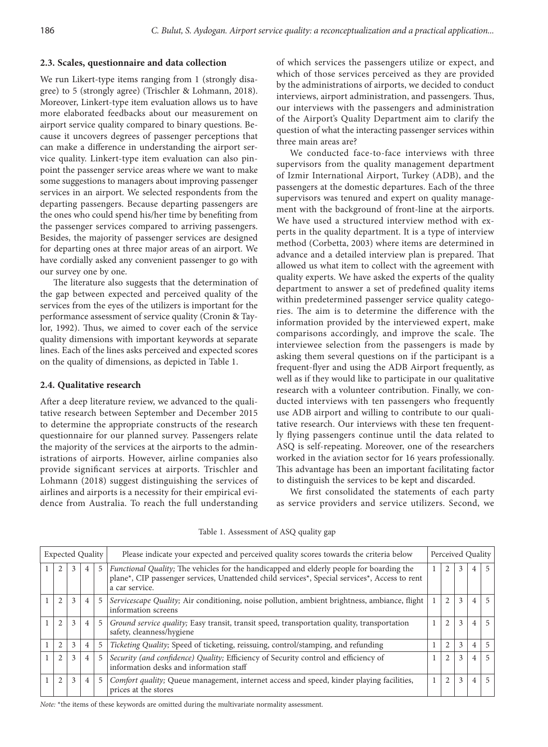## **2.3. Scales, questionnaire and data collection**

We run Likert-type items ranging from 1 (strongly disagree) to 5 (strongly agree) (Trischler & Lohmann, 2018). Moreover, Linkert-type item evaluation allows us to have more elaborated feedbacks about our measurement on airport service quality compared to binary questions. Because it uncovers degrees of passenger perceptions that can make a difference in understanding the airport service quality. Linkert-type item evaluation can also pinpoint the passenger service areas where we want to make some suggestions to managers about improving passenger services in an airport. We selected respondents from the departing passengers. Because departing passengers are the ones who could spend his/her time by benefiting from the passenger services compared to arriving passengers. Besides, the majority of passenger services are designed for departing ones at three major areas of an airport. We have cordially asked any convenient passenger to go with our survey one by one.

The literature also suggests that the determination of the gap between expected and perceived quality of the services from the eyes of the utilizers is important for the performance assessment of service quality (Cronin & Taylor, 1992). Thus, we aimed to cover each of the service quality dimensions with important keywords at separate lines. Each of the lines asks perceived and expected scores on the quality of dimensions, as depicted in Table 1.

## **2.4. Qualitative research**

After a deep literature review, we advanced to the qualitative research between September and December 2015 to determine the appropriate constructs of the research questionnaire for our planned survey. Passengers relate the majority of the services at the airports to the administrations of airports. However, airline companies also provide significant services at airports. Trischler and Lohmann (2018) suggest distinguishing the services of airlines and airports is a necessity for their empirical evidence from Australia. To reach the full understanding of which services the passengers utilize or expect, and which of those services perceived as they are provided by the administrations of airports, we decided to conduct interviews, airport administration, and passengers. Thus, our interviews with the passengers and administration of the Airport's Quality Department aim to clarify the question of what the interacting passenger services within three main areas are?

We conducted face-to-face interviews with three supervisors from the quality management department of Izmir International Airport, Turkey (ADB), and the passengers at the domestic departures. Each of the three supervisors was tenured and expert on quality management with the background of front-line at the airports. We have used a structured interview method with experts in the quality department. It is a type of interview method (Corbetta, 2003) where items are determined in advance and a detailed interview plan is prepared. That allowed us what item to collect with the agreement with quality experts. We have asked the experts of the quality department to answer a set of predefined quality items within predetermined passenger service quality categories. The aim is to determine the difference with the information provided by the interviewed expert, make comparisons accordingly, and improve the scale. The interviewee selection from the passengers is made by asking them several questions on if the participant is a frequent-flyer and using the ADB Airport frequently, as well as if they would like to participate in our qualitative research with a volunteer contribution. Finally, we conducted interviews with ten passengers who frequently use ADB airport and willing to contribute to our qualitative research. Our interviews with these ten frequently flying passengers continue until the data related to ASQ is self-repeating. Moreover, one of the researchers worked in the aviation sector for 16 years professionally. This advantage has been an important facilitating factor to distinguish the services to be kept and discarded.

We first consolidated the statements of each party as service providers and service utilizers. Second, we

| <b>Expected Quality</b> |                |   |                |                | Please indicate your expected and perceived quality scores towards the criteria below                                                                                                                               | Perceived Quality |                |   |                |   |  |
|-------------------------|----------------|---|----------------|----------------|---------------------------------------------------------------------------------------------------------------------------------------------------------------------------------------------------------------------|-------------------|----------------|---|----------------|---|--|
|                         |                | 3 | $4^{\circ}$    | $5^{\circ}$    | <i>Functional Quality</i> ; The vehicles for the handicapped and elderly people for boarding the<br>plane*, CIP passenger services, Unattended child services*, Special services*, Access to rent<br>a car service. |                   | $\mathfrak{D}$ | 3 | 4              | 5 |  |
|                         | $\mathfrak{D}$ | 3 | 4 <sup>1</sup> | 5 <sup>1</sup> | Servicescape Quality; Air conditioning, noise pollution, ambient brightness, ambiance, flight<br>information screens                                                                                                |                   | $\overline{2}$ | 3 | 4              |   |  |
|                         | $\overline{c}$ | 3 | 4 <sup>1</sup> | 5 <sup>1</sup> | <i>Ground service quality</i> ; Easy transit, transit speed, transportation quality, transportation<br>safety, cleanness/hygiene                                                                                    |                   | 2              | 3 | 4              |   |  |
|                         | 2              | 3 | $\overline{4}$ | 5              | Ticketing Quality; Speed of ticketing, reissuing, control/stamping, and refunding                                                                                                                                   |                   | $\mathfrak{D}$ | 3 | $\overline{4}$ |   |  |
|                         | $\overline{2}$ | 3 | $\overline{4}$ | 5 <sup>1</sup> | Security (and confidence) Quality; Efficiency of Security control and efficiency of<br>information desks and information staff                                                                                      |                   | $\overline{2}$ | 3 | 4              |   |  |
|                         | 2              |   | $\overline{4}$ | 5 <sup>1</sup> | Comfort quality; Queue management, internet access and speed, kinder playing facilities,<br>prices at the stores                                                                                                    |                   | $\overline{2}$ | 3 | 4              |   |  |

Table 1. Assessment of ASQ quality gap

*Note:* \*the items of these keywords are omitted during the multivariate normality assessment.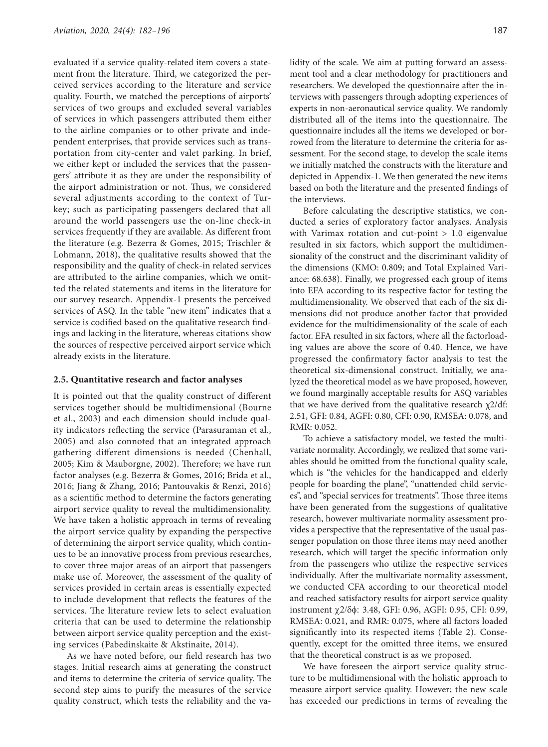evaluated if a service quality-related item covers a statement from the literature. Third, we categorized the perceived services according to the literature and service quality. Fourth, we matched the perceptions of airports' services of two groups and excluded several variables of services in which passengers attributed them either to the airline companies or to other private and independent enterprises, that provide services such as transportation from city-center and valet parking. In brief, we either kept or included the services that the passengers' attribute it as they are under the responsibility of the airport administration or not. Thus, we considered several adjustments according to the context of Turkey; such as participating passengers declared that all around the world passengers use the on-line check-in services frequently if they are available. As different from the literature (e.g. Bezerra & Gomes, 2015; Trischler & Lohmann, 2018), the qualitative results showed that the responsibility and the quality of check-in related services are attributed to the airline companies, which we omitted the related statements and items in the literature for our survey research. Appendix-1 presents the perceived services of ASQ. In the table "new item" indicates that a service is codified based on the qualitative research findings and lacking in the literature, whereas citations show the sources of respective perceived airport service which already exists in the literature.

#### **2.5. Quantitative research and factor analyses**

It is pointed out that the quality construct of different services together should be multidimensional (Bourne et al., 2003) and each dimension should include quality indicators reflecting the service (Parasuraman et al., 2005) and also connoted that an integrated approach gathering different dimensions is needed (Chenhall, 2005; Kim & Mauborgne, 2002). Therefore; we have run factor analyses (e.g. Bezerra & Gomes, 2016; Brida et al., 2016; Jiang & Zhang, 2016; Pantouvakis & Renzi, 2016) as a scientific method to determine the factors generating airport service quality to reveal the multidimensionality. We have taken a holistic approach in terms of revealing the airport service quality by expanding the perspective of determining the airport service quality, which continues to be an innovative process from previous researches, to cover three major areas of an airport that passengers make use of. Moreover, the assessment of the quality of services provided in certain areas is essentially expected to include development that reflects the features of the services. The literature review lets to select evaluation criteria that can be used to determine the relationship between airport service quality perception and the existing services (Pabedinskaite & Akstinaite, 2014).

As we have noted before, our field research has two stages. Initial research aims at generating the construct and items to determine the criteria of service quality. The second step aims to purify the measures of the service quality construct, which tests the reliability and the validity of the scale. We aim at putting forward an assessment tool and a clear methodology for practitioners and researchers. We developed the questionnaire after the interviews with passengers through adopting experiences of experts in non-aeronautical service quality. We randomly distributed all of the items into the questionnaire. The questionnaire includes all the items we developed or borrowed from the literature to determine the criteria for assessment. For the second stage, to develop the scale items we initially matched the constructs with the literature and depicted in Appendix-1. We then generated the new items based on both the literature and the presented findings of the interviews.

Before calculating the descriptive statistics, we conducted a series of exploratory factor analyses. Analysis with Varimax rotation and cut-point  $> 1.0$  eigenvalue resulted in six factors, which support the multidimensionality of the construct and the discriminant validity of the dimensions (KMO: 0.809; and Total Explained Variance: 68.638). Finally, we progressed each group of items into EFA according to its respective factor for testing the multidimensionality. We observed that each of the six dimensions did not produce another factor that provided evidence for the multidimensionality of the scale of each factor. EFA resulted in six factors, where all the factorloading values are above the score of 0.40. Hence, we have progressed the confirmatory factor analysis to test the theoretical six-dimensional construct. Initially, we analyzed the theoretical model as we have proposed, however, we found marginally acceptable results for ASQ variables that we have derived from the qualitative research  $χ2/df$ : 2.51, GFI: 0.84, AGFI: 0.80, CFI: 0.90, RMSEA: 0.078, and RMR: 0.052.

To achieve a satisfactory model, we tested the multivariate normality. Accordingly, we realized that some variables should be omitted from the functional quality scale, which is "the vehicles for the handicapped and elderly people for boarding the plane", "unattended child services", and "special services for treatments". Those three items have been generated from the suggestions of qualitative research, however multivariate normality assessment provides a perspective that the representative of the usual passenger population on those three items may need another research, which will target the specific information only from the passengers who utilize the respective services individually. After the multivariate normality assessment, we conducted CFA according to our theoretical model and reached satisfactory results for airport service quality instrument  $\chi$ 2/δφ: 3.48, GFI: 0.96, AGFI: 0.95, CFI: 0.99, RMSEA: 0.021, and RMR: 0.075, where all factors loaded significantly into its respected items (Table 2). Consequently, except for the omitted three items, we ensured that the theoretical construct is as we proposed.

We have foreseen the airport service quality structure to be multidimensional with the holistic approach to measure airport service quality. However; the new scale has exceeded our predictions in terms of revealing the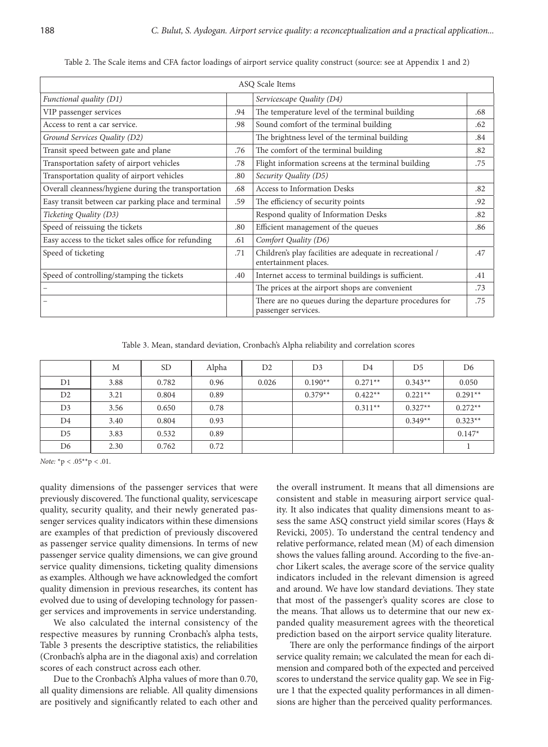| ASQ Scale Items                                      |     |                                                                                    |     |  |  |  |  |  |  |
|------------------------------------------------------|-----|------------------------------------------------------------------------------------|-----|--|--|--|--|--|--|
| Functional quality (D1)                              |     | Servicescape Quality (D4)                                                          |     |  |  |  |  |  |  |
| VIP passenger services                               | .94 | The temperature level of the terminal building                                     | .68 |  |  |  |  |  |  |
| Access to rent a car service.                        | .98 | Sound comfort of the terminal building                                             | .62 |  |  |  |  |  |  |
| Ground Services Quality (D2)                         |     | The brightness level of the terminal building                                      | .84 |  |  |  |  |  |  |
| Transit speed between gate and plane                 | .76 | The comfort of the terminal building                                               | .82 |  |  |  |  |  |  |
| Transportation safety of airport vehicles            | .78 | Flight information screens at the terminal building                                | .75 |  |  |  |  |  |  |
| Transportation quality of airport vehicles           | .80 | Security Quality (D5)                                                              |     |  |  |  |  |  |  |
| Overall cleanness/hygiene during the transportation  | .68 | Access to Information Desks                                                        | .82 |  |  |  |  |  |  |
| Easy transit between car parking place and terminal  | .59 | The efficiency of security points                                                  | .92 |  |  |  |  |  |  |
| Ticketing Quality (D3)                               |     | Respond quality of Information Desks                                               | .82 |  |  |  |  |  |  |
| Speed of reissuing the tickets                       | .80 | Efficient management of the queues                                                 | .86 |  |  |  |  |  |  |
| Easy access to the ticket sales office for refunding | .61 | Comfort Quality (D6)                                                               |     |  |  |  |  |  |  |
| Speed of ticketing                                   | .71 | Children's play facilities are adequate in recreational /<br>entertainment places. | .47 |  |  |  |  |  |  |
| Speed of controlling/stamping the tickets            | .40 | Internet access to terminal buildings is sufficient.                               | .41 |  |  |  |  |  |  |
|                                                      |     | The prices at the airport shops are convenient                                     | .73 |  |  |  |  |  |  |
|                                                      |     | There are no queues during the departure procedures for<br>passenger services.     | .75 |  |  |  |  |  |  |

Table 2. The Scale items and CFA factor loadings of airport service quality construct (source: see at Appendix 1 and 2)

Table 3. Mean, standard deviation, Cronbach's Alpha reliability and correlation scores

|                | M    | <b>SD</b> | Alpha | D <sub>2</sub> | D <sub>3</sub> | D <sub>4</sub> | D <sub>5</sub> | D <sub>6</sub> |
|----------------|------|-----------|-------|----------------|----------------|----------------|----------------|----------------|
| D1             | 3.88 | 0.782     | 0.96  | 0.026          | $0.190**$      | $0.271**$      | $0.343**$      | 0.050          |
| D <sub>2</sub> | 3.21 | 0.804     | 0.89  |                | $0.379**$      | $0.422**$      | $0.221**$      | $0.291**$      |
| D <sub>3</sub> | 3.56 | 0.650     | 0.78  |                |                | $0.311**$      | $0.327**$      | $0.272**$      |
| D <sub>4</sub> | 3.40 | 0.804     | 0.93  |                |                |                | $0.349**$      | $0.323**$      |
| D <sub>5</sub> | 3.83 | 0.532     | 0.89  |                |                |                |                | $0.147*$       |
| D6             | 2.30 | 0.762     | 0.72  |                |                |                |                |                |

*Note:* \*p < .05\*\*p < .01.

quality dimensions of the passenger services that were previously discovered. The functional quality, servicescape quality, security quality, and their newly generated passenger services quality indicators within these dimensions are examples of that prediction of previously discovered as passenger service quality dimensions. In terms of new passenger service quality dimensions, we can give ground service quality dimensions, ticketing quality dimensions as examples. Although we have acknowledged the comfort quality dimension in previous researches, its content has evolved due to using of developing technology for passenger services and improvements in service understanding.

We also calculated the internal consistency of the respective measures by running Cronbach's alpha tests, Table 3 presents the descriptive statistics, the reliabilities (Cronbach's alpha are in the diagonal axis) and correlation scores of each construct across each other.

Due to the Cronbach's Alpha values of more than 0.70, all quality dimensions are reliable. All quality dimensions are positively and significantly related to each other and

the overall instrument. It means that all dimensions are consistent and stable in measuring airport service quality. It also indicates that quality dimensions meant to assess the same ASQ construct yield similar scores (Hays & Revicki, 2005). To understand the central tendency and relative performance, related mean (M) of each dimension shows the values falling around. According to the five-anchor Likert scales, the average score of the service quality indicators included in the relevant dimension is agreed and around. We have low standard deviations. They state that most of the passenger's quality scores are close to the means. That allows us to determine that our new expanded quality measurement agrees with the theoretical prediction based on the airport service quality literature.

There are only the performance findings of the airport service quality remain; we calculated the mean for each dimension and compared both of the expected and perceived scores to understand the service quality gap. We see in Figure 1 that the expected quality performances in all dimensions are higher than the perceived quality performances.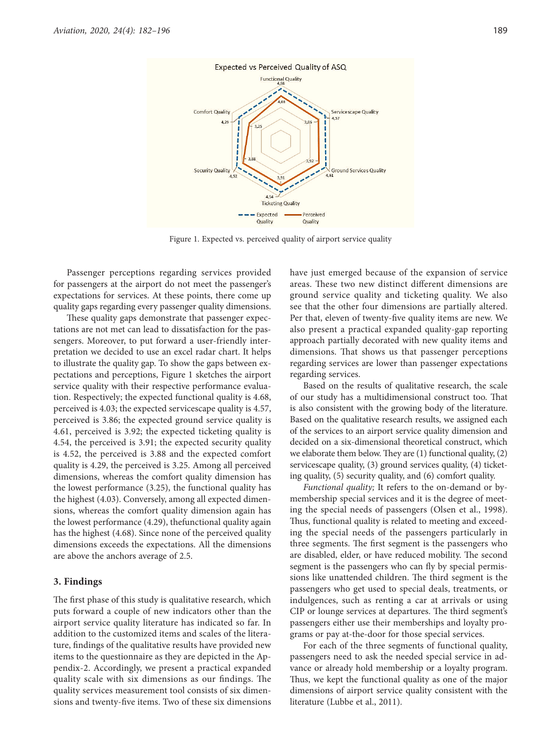

Figure 1. Expected vs. perceived quality of airport service quality

Passenger perceptions regarding services provided for passengers at the airport do not meet the passenger's expectations for services. At these points, there come up quality gaps regarding every passenger quality dimensions.

These quality gaps demonstrate that passenger expectations are not met can lead to dissatisfaction for the passengers. Moreover, to put forward a user-friendly interpretation we decided to use an excel radar chart. It helps to illustrate the quality gap. To show the gaps between expectations and perceptions, Figure 1 sketches the airport service quality with their respective performance evaluation. Respectively; the expected functional quality is 4.68, perceived is 4.03; the expected servicescape quality is 4.57, perceived is 3.86; the expected ground service quality is 4.61, perceived is 3.92; the expected ticketing quality is 4.54, the perceived is 3.91; the expected security quality is 4.52, the perceived is 3.88 and the expected comfort quality is 4.29, the perceived is 3.25. Among all perceived dimensions, whereas the comfort quality dimension has the lowest performance (3.25), the functional quality has the highest (4.03). Conversely, among all expected dimensions, whereas the comfort quality dimension again has the lowest performance (4.29), thefunctional quality again has the highest (4.68). Since none of the perceived quality dimensions exceeds the expectations. All the dimensions are above the anchors average of 2.5.

#### **3. Findings**

The first phase of this study is qualitative research, which puts forward a couple of new indicators other than the airport service quality literature has indicated so far. In addition to the customized items and scales of the literature, findings of the qualitative results have provided new items to the questionnaire as they are depicted in the Appendix-2. Accordingly, we present a practical expanded quality scale with six dimensions as our findings. The quality services measurement tool consists of six dimensions and twenty-five items. Two of these six dimensions have just emerged because of the expansion of service areas. These two new distinct different dimensions are ground service quality and ticketing quality. We also see that the other four dimensions are partially altered. Per that, eleven of twenty-five quality items are new. We also present a practical expanded quality-gap reporting approach partially decorated with new quality items and dimensions. That shows us that passenger perceptions regarding services are lower than passenger expectations regarding services.

Based on the results of qualitative research, the scale of our study has a multidimensional construct too. That is also consistent with the growing body of the literature. Based on the qualitative research results, we assigned each of the services to an airport service quality dimension and decided on a six-dimensional theoretical construct, which we elaborate them below. They are (1) functional quality, (2) servicescape quality, (3) ground services quality, (4) ticketing quality, (5) security quality, and (6) comfort quality.

*Functional quality;* It refers to the on-demand or bymembership special services and it is the degree of meeting the special needs of passengers (Olsen et al., 1998). Thus, functional quality is related to meeting and exceeding the special needs of the passengers particularly in three segments. The first segment is the passengers who are disabled, elder, or have reduced mobility. The second segment is the passengers who can fly by special permissions like unattended children. The third segment is the passengers who get used to special deals, treatments, or indulgences, such as renting a car at arrivals or using CIP or lounge services at departures. The third segment's passengers either use their memberships and loyalty programs or pay at-the-door for those special services.

For each of the three segments of functional quality, passengers need to ask the needed special service in advance or already hold membership or a loyalty program. Thus, we kept the functional quality as one of the major dimensions of airport service quality consistent with the literature (Lubbe et al., 2011).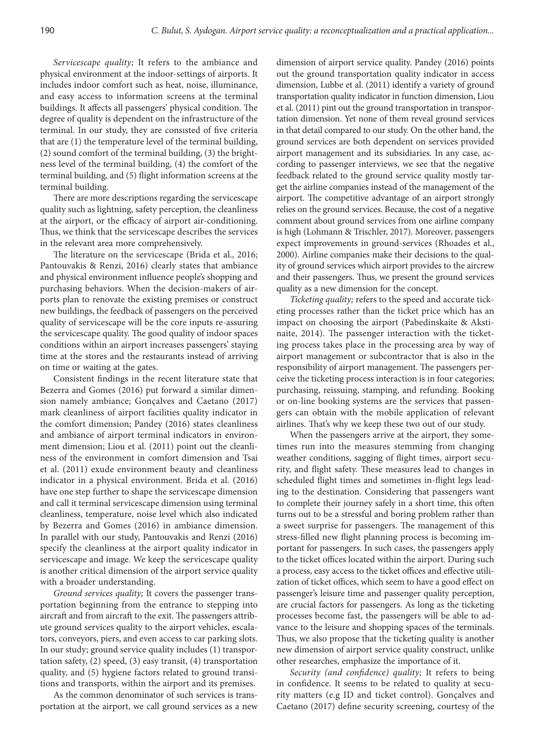*Servicescape quality;* It refers to the ambiance and physical environment at the indoor-settings of airports. It includes indoor comfort such as heat, noise, illuminance, and easy access to information screens at the terminal buildings. It affects all passengers' physical condition. The degree of quality is dependent on the infrastructure of the terminal. In our study, they are consısted of five criteria that are (1) the temperature level of the terminal building, (2) sound comfort of the terminal building, (3) the brightness level of the terminal building, (4) the comfort of the terminal building, and (5) flight information screens at the terminal building.

There are more descriptions regarding the servicescape quality such as lightning, safety perception, the cleanliness at the airport, or the efficacy of airport air-conditioning. Thus, we think that the servicescape describes the services in the relevant area more comprehensively.

The literature on the servicescape (Brida et al., 2016; Pantouvakis & Renzi, 2016) clearly states that ambiance and physical environment influence people's shopping and purchasing behaviors. When the decision-makers of airports plan to renovate the existing premises or construct new buildings, the feedback of passengers on the perceived quality of servicescape will be the core inputs re-assuring the servicescape quality. The good quality of indoor spaces conditions within an airport increases passengers' staying time at the stores and the restaurants instead of arriving on time or waiting at the gates.

Consistent findings in the recent literature state that Bezerra and Gomes (2016) put forward a similar dimension namely ambiance; Gonçalves and Caetano (2017) mark cleanliness of airport facilities quality indicator in the comfort dimension; Pandey (2016) states cleanliness and ambiance of airport terminal indicators in environment dimension; Liou et al. (2011) point out the cleanliness of the environment in comfort dimension and Tsai et al. (2011) exude environment beauty and cleanliness indicator in a physical environment. Brida et al. (2016) have one step further to shape the servicescape dimension and call it terminal servicescape dimension using terminal cleanliness, temperature, noise level which also indicated by Bezerra and Gomes (2016) in ambiance dimension. In parallel with our study, Pantouvakis and Renzi (2016) specify the cleanliness at the airport quality indicator in servicescape and image. We keep the servicescape quality is another critical dimension of the airport service quality with a broader understanding.

*Ground services quality;* It covers the passenger transportation beginning from the entrance to stepping into aircraft and from aircraft to the exit. The passengers attribute ground services quality to the airport vehicles, escalators, conveyors, piers, and even access to car parking slots. In our study; ground service quality includes (1) transportation safety, (2) speed, (3) easy transit, (4) transportation quality, and (5) hygiene factors related to ground transitions and transports, within the airport and its premises.

As the common denominator of such services is transportation at the airport, we call ground services as a new dimension of airport service quality. Pandey (2016) points out the ground transportation quality indicator in access dimension, Lubbe et al. (2011) identify a variety of ground transportation quality indicator in function dimension, Liou et al. (2011) pint out the ground transportation in transportation dimension. Yet none of them reveal ground services in that detail compared to our study. On the other hand, the ground services are both dependent on services provided airport management and its subsidiaries. In any case, according to passenger interviews, we see that the negative feedback related to the ground service quality mostly target the airline companies instead of the management of the airport. The competitive advantage of an airport strongly relies on the ground services. Because, the cost of a negative comment about ground services from one airline company is high (Lohmann & Trischler, 2017). Moreover, passengers expect improvements in ground-services (Rhoades et al., 2000). Airline companies make their decisions to the quality of ground services which airport provides to the aircrew and their passengers. Thus, we present the ground services quality as a new dimension for the concept.

*Ticketing quality;* refers to the speed and accurate ticketing processes rather than the ticket price which has an impact on choosing the airport (Pabedinskaite & Akstinaite, 2014). The passenger interaction with the ticketing process takes place in the processing area by way of airport management or subcontractor that is also in the responsibility of airport management. The passengers perceive the ticketing process interaction is in four categories; purchasing, reissuing, stamping, and refunding. Booking or on-line booking systems are the services that passengers can obtain with the mobile application of relevant airlines. That's why we keep these two out of our study.

When the passengers arrive at the airport, they sometimes run into the measures stemming from changing weather conditions, sagging of flight times, airport security, and flight safety. These measures lead to changes in scheduled flight times and sometimes in-flight legs leading to the destination. Considering that passengers want to complete their journey safely in a short time, this often turns out to be a stressful and boring problem rather than a sweet surprise for passengers. The management of this stress-filled new flight planning process is becoming important for passengers. In such cases, the passengers apply to the ticket offices located within the airport. During such a process, easy access to the ticket offices and effective utilization of ticket offices, which seem to have a good effect on passenger's leisure time and passenger quality perception, are crucial factors for passengers. As long as the ticketing processes become fast, the passengers will be able to advance to the leisure and shopping spaces of the terminals. Thus, we also propose that the ticketing quality is another new dimension of airport service quality construct, unlike other researches, emphasize the importance of it.

*Security (and confidence) quality;* It refers to being in confidence. It seems to be related to quality at security matters (e.g ID and ticket control). Gonçalves and Caetano (2017) define security screening, courtesy of the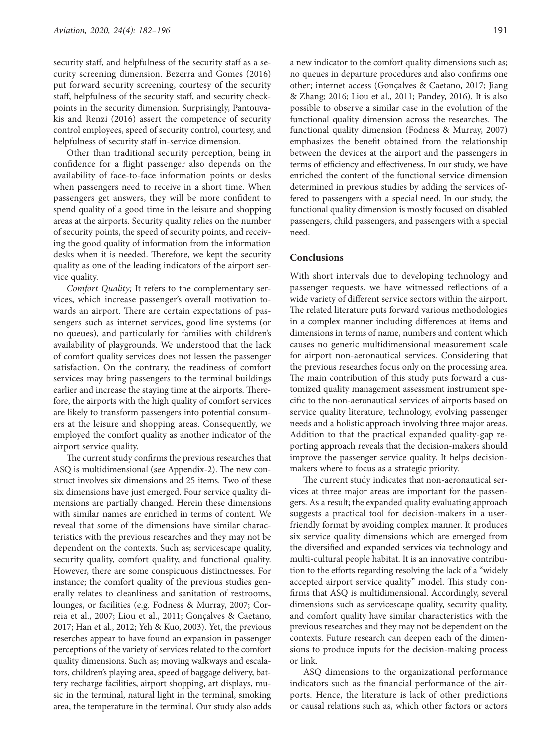security staff, and helpfulness of the security staff as a security screening dimension. Bezerra and Gomes (2016) put forward security screening, courtesy of the security staff, helpfulness of the security staff, and security checkpoints in the security dimension. Surprisingly, Pantouvakis and Renzi (2016) assert the competence of security control employees, speed of security control, courtesy, and helpfulness of security staff in-service dimension.

Other than traditional security perception, being in confidence for a flight passenger also depends on the availability of face-to-face information points or desks when passengers need to receive in a short time. When passengers get answers, they will be more confident to spend quality of a good time in the leisure and shopping areas at the airports. Security quality relies on the number of security points, the speed of security points, and receiving the good quality of information from the information desks when it is needed. Therefore, we kept the security quality as one of the leading indicators of the airport service quality.

*Comfort Quality;* It refers to the complementary services, which increase passenger's overall motivation towards an airport. There are certain expectations of passengers such as internet services, good line systems (or no queues), and particularly for families with children's availability of playgrounds. We understood that the lack of comfort quality services does not lessen the passenger satisfaction. On the contrary, the readiness of comfort services may bring passengers to the terminal buildings earlier and increase the staying time at the airports. Therefore, the airports with the high quality of comfort services are likely to transform passengers into potential consumers at the leisure and shopping areas. Consequently, we employed the comfort quality as another indicator of the airport service quality.

The current study confirms the previous researches that ASQ is multidimensional (see Appendix-2). The new construct involves six dimensions and 25 items. Two of these six dimensions have just emerged. Four service quality dimensions are partially changed. Herein these dimensions with similar names are enriched in terms of content. We reveal that some of the dimensions have similar characteristics with the previous researches and they may not be dependent on the contexts. Such as; servicescape quality, security quality, comfort quality, and functional quality. However, there are some conspicuous distinctnesses. For instance; the comfort quality of the previous studies generally relates to cleanliness and sanitation of restrooms, lounges, or facilities (e.g. Fodness & Murray, 2007; Correia et al., 2007; Liou et al., 2011; Gonçalves & Caetano, 2017; Han et al., 2012; Yeh & Kuo, 2003). Yet, the previous reserches appear to have found an expansion in passenger perceptions of the variety of services related to the comfort quality dimensions. Such as; moving walkways and escalators, children's playing area, speed of baggage delivery, battery recharge facilities, airport shopping, art displays, music in the terminal, natural light in the terminal, smoking area, the temperature in the terminal. Our study also adds

a new indicator to the comfort quality dimensions such as; no queues in departure procedures and also confirms one other; internet access (Gonçalves & Caetano, 2017; Jiang & Zhang; 2016; Liou et al., 2011; Pandey, 2016). It is also possible to observe a similar case in the evolution of the functional quality dimension across the researches. The functional quality dimension (Fodness & Murray, 2007) emphasizes the benefit obtained from the relationship between the devices at the airport and the passengers in terms of efficiency and effectiveness. In our study, we have enriched the content of the functional service dimension determined in previous studies by adding the services offered to passengers with a special need. In our study, the functional quality dimension is mostly focused on disabled passengers, child passengers, and passengers with a special need.

## **Conclusions**

With short intervals due to developing technology and passenger requests, we have witnessed reflections of a wide variety of different service sectors within the airport. The related literature puts forward various methodologies in a complex manner including differences at items and dimensions in terms of name, numbers and content which causes no generic multidimensional measurement scale for airport non-aeronautical services. Considering that the previous researches focus only on the processing area. The main contribution of this study puts forward a customized quality management assessment instrument specific to the non-aeronautical services of airports based on service quality literature, technology, evolving passenger needs and a holistic approach involving three major areas. Addition to that the practical expanded quality-gap reporting approach reveals that the decision-makers should improve the passenger service quality. It helps decisionmakers where to focus as a strategic priority.

The current study indicates that non-aeronautical services at three major areas are important for the passengers. As a result; the expanded quality evaluating approach suggests a practical tool for decision-makers in a userfriendly format by avoiding complex manner. It produces six service quality dimensions which are emerged from the diversified and expanded services via technology and multi-cultural people habitat. It is an innovative contribution to the efforts regarding resolving the lack of a "widely accepted airport service quality" model. This study confirms that ASQ is multidimensional. Accordingly, several dimensions such as servicescape quality, security quality, and comfort quality have similar characteristics with the previous researches and they may not be dependent on the contexts. Future research can deepen each of the dimensions to produce inputs for the decision-making process or link.

ASQ dimensions to the organizational performance indicators such as the financial performance of the airports. Hence, the literature is lack of other predictions or causal relations such as, which other factors or actors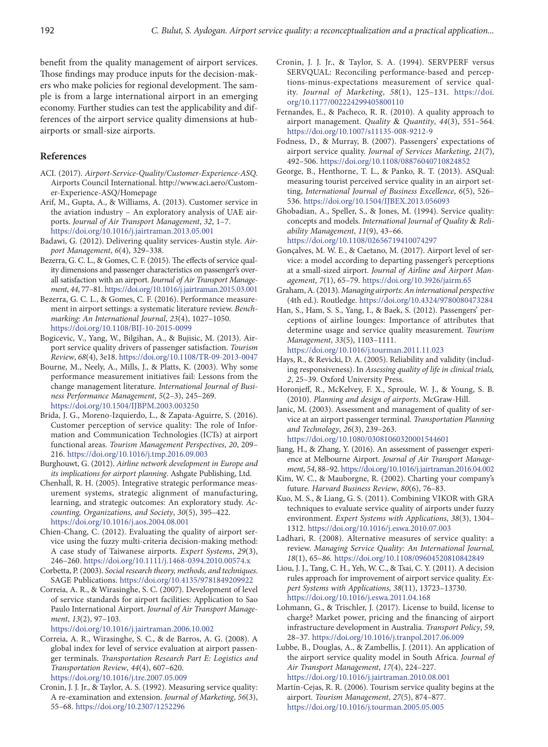benefit from the quality management of airport services. Those findings may produce inputs for the decision-makers who make policies for regional development. The sample is from a large international airport in an emerging economy. Further studies can test the applicability and differences of the airport service quality dimensions at hubairports or small-size airports.

### **References**

- ACI. (2017). *Airport-Service-Quality/Customer-Experience-ASQ*. Airports Council International. http://www.aci.aero/Customer-Experience-ASQ/Homepage
- Arif, M., Gupta, A., & Williams, A. (2013). Customer service in the aviation industry – An exploratory analysis of UAE airports. *Journal of Air Transport Management*, *32*, 1–7. https://doi.org/10.1016/j.jairtraman.2013.05.001
- Badawi, G. (2012). Delivering quality services-Austin style. *Airport Management*, *6*(4), 329–338.
- Bezerra, G. C. L., & Gomes, C. F. (2015). The effects of service quality dimensions and passenger characteristics on passenger's overall satisfaction with an airport. *Journal of Air Transport Management*, *44*, 77–81. https://doi.org/10.1016/j.jairtraman.2015.03.001
- Bezerra, G. C. L., & Gomes, C. F. (2016). Performance measurement in airport settings: a systematic literature review. *Benchmarking: An International Journal*, *23*(4), 1027–1050. https://doi.org/10.1108/BIJ-10-2015-0099
- Bogicevic, V., Yang, W., Bilgihan, A., & Bujisic, M. (2013). Airport service quality drivers of passenger satisfaction. *Tourism Review*, *68*(4), 3e18. https://doi.org/10.1108/TR-09-2013-0047
- Bourne, M., Neely, A., Mills, J., & Platts, K. (2003). Why some performance measurement initiatives fail: Lessons from the change management literature. *International Journal of Business Performance Management*, *5*(2–3), 245–269. https://doi.org/10.1504/IJBPM.2003.003250
- Brida, J. G., Moreno-Izquierdo, L., & Zapata-Aguirre, S. (2016). Customer perception of service quality: The role of Information and Communication Technologies (ICTs) at airport functional areas. *Tourism Management Perspectives*, *20*, 209– 216. https://doi.org/10.1016/j.tmp.2016.09.003
- Burghouwt, G. (2012). *Airline network development in Europe and its implications for airport planning*. Ashgate Publishing, Ltd.
- Chenhall, R. H. (2005). Integrative strategic performance measurement systems, strategic alignment of manufacturing, learning, and strategic outcomes: An exploratory study. *Accounting, Organizations, and Society*, *30*(5), 395–422. https://doi.org/10.1016/j.aos.2004.08.001
- Chien-Chang, C. (2012). Evaluating the quality of airport service using the fuzzy multi-criteria decision-making method: A case study of Taiwanese airports. *Expert Systems*, *29*(3), 246–260. https://doi.org/10.1111/j.1468-0394.2010.00574.x
- Corbetta, P. (2003). *Social research theory, methods, and techniques*. SAGE Publications. https://doi.org/10.4135/9781849209922
- Correia, A. R., & Wirasinghe, S. C. (2007). Development of level of service standards for airport facilities: Application to Sao Paulo International Airport. *Journal of Air Transport Management*, *13*(2), 97–103.

https://doi.org/10.1016/j.jairtraman.2006.10.002

- Correia, A. R., Wirasinghe, S. C., & de Barros, A. G. (2008). A global index for level of service evaluation at airport passenger terminals. *Transportation Research Part E: Logistics and Transportation Review*, *44*(4), 607–620. https://doi.org/10.1016/j.tre.2007.05.009
- Cronin, J. J. Jr., & Taylor, A. S. (1992). Measuring service quality: A re-examination and extension. *Journal of Marketing*, *56*(3), 55–68. https://doi.org/10.2307/1252296
- Cronin, J. J. Jr., & Taylor, S. A. (1994). SERVPERF versus SERVQUAL: Reconciling performance-based and perceptions-minus-expectations measurement of service quality. *Journal of Marketing*, *58*(1), 125–131. https://doi. org/10.1177/002224299405800110
- Fernandes, E., & Pacheco, R. R. (2010). A quality approach to airport management. *Quality* & *Quantity*, *44*(3), 551–564. https://doi.org/10.1007/s11135-008-9212-9
- Fodness, D., & Murray, B. (2007). Passengers' expectations of airport service quality. *Journal of Services Marketing*, *21*(7), 492–506. https://doi.org/10.1108/08876040710824852
- George, B., Henthorne, T. L., & Panko, R. T. (2013). ASQual: measuring tourist perceived service quality in an airport setting, *International Journal of Business Excellence*, *6*(5), 526– 536. https://doi.org/10.1504/IJBEX.2013.056093
- Ghobadian, A., Speller, S., & Jones, M. (1994). Service quality: concepts and models. *International Journal of Quality* & *Reliability Management*, *11*(9), 43–66. https://doi.org/10.1108/02656719410074297
- Gonçalves, M. W. E., & Caetano, M. (2017). Airport level of service: a model according to departing passenger's perceptions at a small-sized airport. *Journal of Airline and Airport Management*, *7*(1), 65–79. https://doi.org/10.3926/jairm.65
- Graham, A. (2013). *Managing airports*: *An international perspective*  (4th ed.). Routledge. https://doi.org/10.4324/9780080473284
- Han, S., Ham, S. S., Yang, I., & Baek, S. (2012). Passengers' perceptions of airline lounges: Importance of attributes that determine usage and service quality measurement. *Tourism Management*, *33*(5), 1103–1111. https://doi.org/10.1016/j.tourman.2011.11.023
- Hays, R., & Revicki, D. A. (2005). Reliability and validity (including responsiveness). In *Assessing quality of life in clinical trials, 2*, 25–39. Oxford University Press.
- Horonjeff, R., McKelvey, F. X., Sproule, W. J., & Young, S. B. (2010). *Planning and design of airports*. McGraw-Hill.
- Janic, M. (2003). Assessment and management of quality of service at an airport passenger terminal. *Transportation Planning and Technology*, *26*(3), 239–263. https://doi.org/10.1080/03081060320001544601

Jiang, H., & Zhang, Y. (2016). An assessment of passenger experience at Melbourne Airport. *Journal of Air Transport Management*, *54*, 88–92. https://doi.org/10.1016/j.jairtraman.2016.04.002

- Kim, W. C., & Mauborgne, R. (2002). Charting your company's future. *Harvard Business Review*, *80*(6), 76–83.
- Kuo, M. S., & Liang, G. S. (2011). Combining VIKOR with GRA techniques to evaluate service quality of airports under fuzzy environment. *Expert Systems with Applications*, *38*(3), 1304– 1312. https://doi.org/10.1016/j.eswa.2010.07.003
- Ladhari, R. (2008). Alternative measures of service quality: a review. *Managing Service Quality: An International Journal, 18*(1), 65–*86.* https://doi.org/10.1108/09604520810842849
- Liou, J. J., Tang, C. H., Yeh, W. C., & Tsai, C. Y. (2011). A decision rules approach for improvement of airport service quality. *Expert Systems with Applications*, *38*(11), 13723–13730. https://doi.org/10.1016/j.eswa.2011.04.168
- Lohmann, G., & Trischler, J. (2017). License to build, license to charge? Market power, pricing and the financing of airport infrastructure development in Australia. *Transport Policy*, *59*, 28–37. https://doi.org/10.1016/j.tranpol.2017.06.009
- Lubbe, B., Douglas, A., & Zambellis, J. (2011). An application of the airport service quality model in South Africa. *Journal of Air Transport Management*, *17*(4), 224–227. https://doi.org/10.1016/j.jairtraman.2010.08.001
- Martín-Cejas, R. R. (2006). Tourism service quality begins at the airport. *Tourism Management*, *27*(5), 874–877. https://doi.org/10.1016/j.tourman.2005.05.005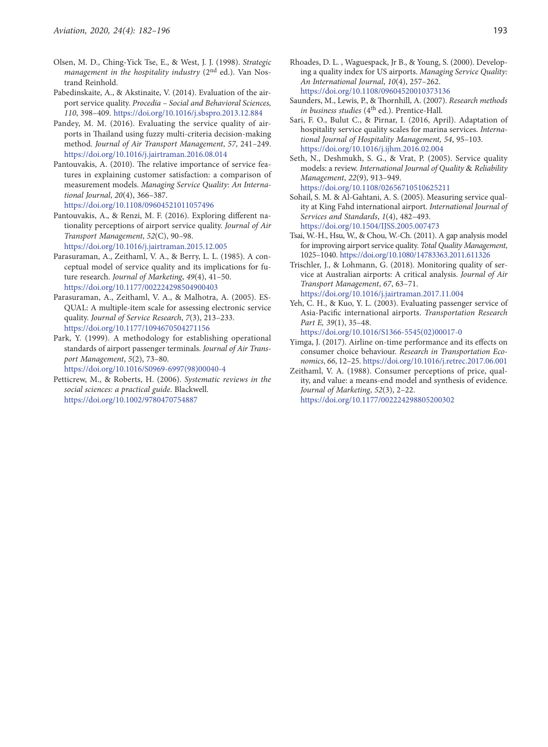- Olsen, M. D., Ching-Yick Tse, E., & West, J. J. (1998). *Strategic management in the hospitality industry* (2nd ed.). Van Nostrand Reinhold.
- Pabedinskaite, A., & Akstinaite, V. (2014). Evaluation of the airport service quality. *Procedia – Social and Behavioral Sciences, 110*, 398–409. https://doi.org/10.1016/j.sbspro.2013.12.884
- Pandey, M. M. (2016). Evaluating the service quality of airports in Thailand using fuzzy multi-criteria decision-making method. *Journal of Air Transport Management*, *57*, 241–249. https://doi.org/10.1016/j.jairtraman.2016.08.014
- Pantouvakis, A. (2010). The relative importance of service features in explaining customer satisfaction: a comparison of measurement models. *Managing Service Quality: An International Journal*, *20*(4), 366–387. https://doi.org/10.1108/09604521011057496
- Pantouvakis, A., & Renzi, M. F. (2016). Exploring different nationality perceptions of airport service quality. *Journal of Air Transport Management*, *52*(C), 90–98. https://doi.org/10.1016/j.jairtraman.2015.12.005
- Parasuraman, A., Zeithaml, V. A., & Berry, L. L. (1985). A conceptual model of service quality and its implications for future research. *Journal of Marketing*, *49*(4), 41–50. https://doi.org/10.1177/002224298504900403
- Parasuraman, A., Zeithaml, V. A., & Malhotra, A. (2005). ES-QUAL: A multiple-item scale for assessing electronic service quality. *Journal of Service Research*, *7*(3), 213–233. https://doi.org/10.1177/1094670504271156
- Park, Y. (1999). A methodology for establishing operational standards of airport passenger terminals. *Journal of Air Transport Management*, *5*(2), 73–80. https://doi.org/10.1016/S0969-6997(98)00040-4
- Petticrew, M., & Roberts, H. (2006). *Systematic reviews in the social sciences: a practical guide*. Blackwell. https://doi.org/10.1002/9780470754887
- Rhoades, D. L. , Waguespack, Jr B., & Young, S. (2000). Developing a quality index for US airports. *Managing Service Quality: An International Journal*, *10*(4), 257–262. https://doi.org/10.1108/09604520010373136
- Saunders, M., Lewis, P., & Thornhill, A. (2007). *Research methods*  in business studies (4<sup>th</sup> ed.). Prentice-Hall.
- Sari, F. O., Bulut C., & Pirnar, I. (2016, April). Adaptation of hospitality service quality scales for marina services. *International Journal of Hospitality Management, 54*, 95–103. https://doi.org/10.1016/j.ijhm.2016.02.004
- Seth, N., Deshmukh, S. G., & Vrat, P. (2005). Service quality models: a review. *International Journal of Quality* & *Reliability Management*, *22*(9), 913–949. https://doi.org/10.1108/02656710510625211
- Sohail, S. M. & Al-Gahtani, A. S. (2005). Measuring service quality at King Fahd international airport. *International Journal of Services and Standards*, *1*(4), 482–493. https://doi.org/10.1504/IJSS.2005.007473
- Tsai, W.-H., Hsu, W., & Chou, W.-Ch. (2011). A gap analysis model for improving airport service quality. *Total Quality Management*, 1025–1040. https://doi.org/10.1080/14783363.2011.611326
- Trischler, J., & Lohmann, G. (2018). Monitoring quality of service at Australian airports: A critical analysis. *Journal of Air Transport Management*, *67*, 63–71. https://doi.org/10.1016/j.jairtraman.2017.11.004
- Yeh, C. H., & Kuo, Y. L. (2003). Evaluating passenger service of Asia-Pacific international airports. *Transportation Research Part E, 39*(1), 35–48.

https://doi.org/10.1016/S1366-5545(02)00017-0

- Yimga, J. (2017). Airline on-time performance and its effects on consumer choice behaviour. *Research in Transportation Economics*, *66*, 12–25. https://doi.org/10.1016/j.retrec.2017.06.001
- Zeithaml, V. A. (1988). Consumer perceptions of price, quality, and value: a means-end model and synthesis of evidence. *Journal of Marketing*, *52*(3), 2–22. https://doi.org/10.1177/002224298805200302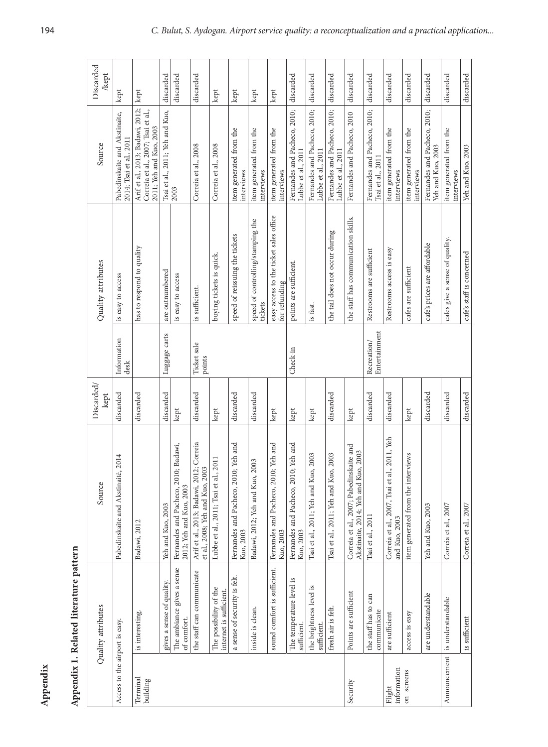| $\overline{\phantom{a}}$<br>ׅ֧֚֚֚֚֚֚֚֚֚֚֚֚֚֚֚֚֡֡֡֡֡֡֡֜֓֡֡֡֡֬ |
|--------------------------------------------------------------|
| ֠                                                            |
|                                                              |
| ı                                                            |
|                                                              |

| Appendix                       |                                                   |                                                                                |                    |                                                                 |                                                         |                                                                                                   |                    |
|--------------------------------|---------------------------------------------------|--------------------------------------------------------------------------------|--------------------|-----------------------------------------------------------------|---------------------------------------------------------|---------------------------------------------------------------------------------------------------|--------------------|
|                                | Appendix 1. Related literature pattern            |                                                                                |                    |                                                                 |                                                         |                                                                                                   |                    |
|                                | Quality attributes                                | Source                                                                         | Discarded/<br>kept |                                                                 | Quality attributes                                      | Source                                                                                            | Discarded<br>/kept |
| Access to the airport is easy. |                                                   | Pabedinskaite and Akstinaitė, 2014                                             | discarded          | Information<br>desk                                             | is easy to access                                       | Pabedinskaite and Akstinaite,<br>2014; Tsai et al., 2011                                          | kept               |
| Terminal<br>building           | is interesting.                                   | Badawi, 2012                                                                   | discarded          |                                                                 | has to respond to quality                               | Arif et al., 2013; Badawi, 2012;<br>Correia et al., 2007; Tsai et al.,<br>2011; Yeh and Kuo, 2003 | kept               |
|                                | gives a sense of quality.                         | Yeh and Kuo, 2003                                                              | discarded          | Luggage carts                                                   | are outnumbered                                         | Tsai et al., 2011; Yeh and Kuo,                                                                   | discarded          |
|                                | The ambiance gives a sense<br>of comfort.         | Fernandes and Pacheco, 2010; Badawi,<br>2012; Yeh and Kuo, 2003                | kept               |                                                                 | is easy to access                                       | 2003                                                                                              | discarded          |
|                                | the staff can communicate                         | Arif et al., 2013; Badawi, 2012; Correia<br>et al., 2008; Yeh and Kuo, 2003    | discarded          | Ticket sale<br>points                                           | is sufficient.                                          | Correia et al., 2008                                                                              | discarded          |
|                                | The possibility of the<br>internet is sufficient. | Lubbe et al., 2011; Tsai et al., 2011                                          | kept               |                                                                 | buying tickets is quick.                                | Correia et al., 2008                                                                              | kept               |
|                                | a sense of security is felt.                      | Fernandes and Pacheco, 2010; Yeh and<br>Kuo, 2003                              | discarded          |                                                                 | speed of reissuing the tickets                          | item generated from the<br>interviews                                                             | kept               |
|                                | inside is clean.                                  | Badawi, 2012; Yeh and Kuo, 2003                                                | discarded          |                                                                 | speed of controlling/stamping the<br>tickets            | item generated from the<br>interviews                                                             | kept               |
|                                | sound comfort is sufficient.                      | Fernandes and Pacheco, 2010; Yeh and<br>Kuo, 2003                              | kept               |                                                                 | easy access to the ticket sales office<br>for refunding | item generated from the<br>interviews                                                             | kept               |
|                                | The temperature level is<br>sufficient            | Fernandes and Pacheco, 2010; Yeh and<br>Kuo, 2003                              | kept               | Check-in                                                        | points are sufficient.                                  | Fernandes and Pacheco, 2010;<br>Lubbe et al., 2011                                                | discarded          |
|                                | the brightness level is<br>sufficient.            | Tsai et al., 2011; Yeh and Kuo, 2003                                           | kept               |                                                                 | is fast.                                                | Fernandes and Pacheco, 2010;<br>Lubbe et al., 2011                                                | discarded          |
|                                | fresh air is felt.                                | Tsai et al., 2011; Yeh and Kuo, 2003                                           | discarded          |                                                                 | the tail does not occur during                          | Fernandes and Pacheco, 2010;<br>Lubbe et al., 2011                                                | discarded          |
| Security                       | Points are sufficient                             | Correia et al., 2007; Pabedinskaite and<br>Akstinaite, 2014; Yeh and Kuo, 2003 | kept               |                                                                 | the staff has communication skills.                     | Fernandes and Pacheco, 2010                                                                       | discarded          |
|                                | can<br>the staff has to<br>communicate            | Tsai et al., 2011                                                              | discarded          | $\frac{\mbox{Recreation}}{\mbox{Entert} \mbox{a} \mbox{iment}}$ | Restrooms are sufficient                                | Fernandes and Pacheco, 2010;<br>Tsai et al., 2011                                                 | discarded          |
| information<br>Flight          | are sufficient                                    | al., 2011, Yeh<br>Correia et al., 2007, Tsai et<br>and Kuo, 2003               | discarded          |                                                                 | Restrooms access is easy                                | item generated from the<br>interviews                                                             | discarded          |
| on screens                     | access is easy                                    | item generated from the interviews                                             | kept               |                                                                 | cafes are sufficient                                    | item generated from the<br>interviews                                                             | discarded          |
|                                | are understandable                                | Yeh and Kuo, 2003                                                              | discarded          |                                                                 | cafe's prices are affordable                            | Fernandes and Pacheco, 2010;<br>Yeh and Kuo, 2003                                                 | discarded          |
|                                | Announcement is understandable                    | Correia et al., 2007                                                           | discarded          |                                                                 | cafes give a sense of quality.                          | item generated from the<br>interviews                                                             | discarded          |
|                                | is sufficient                                     | Correia et al., 2007                                                           | discarded          |                                                                 | cafe's staff is concerned                               | Yeh and Kuo, 2003                                                                                 | discarded          |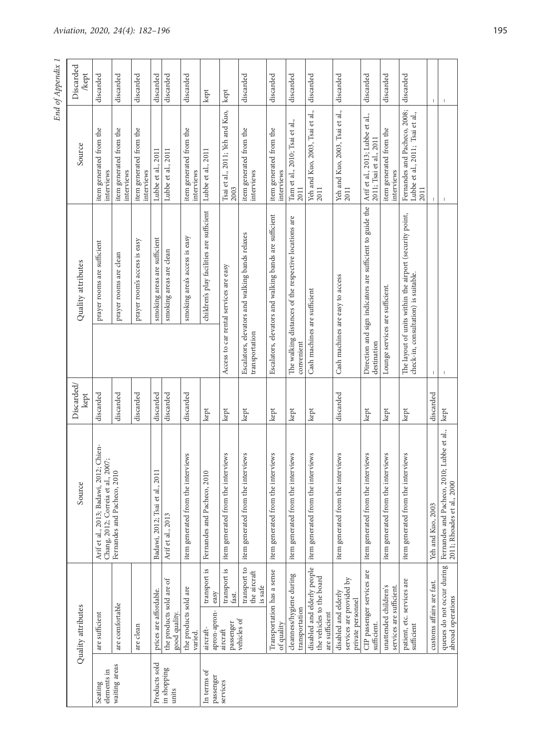| Discarded<br>kept  | discarded                                                                              | discarded                             | discarded                             | discarded                                         | discarded                                 | discarded                             | kept                                              | kept                                           | discarded                                              | discarded                                              | discarded                                             | discarded                                                                  | discarded                                                             | discarded                                                        | discarded                                         | discarded                                                                                       | т.                        |                                                                          |
|--------------------|----------------------------------------------------------------------------------------|---------------------------------------|---------------------------------------|---------------------------------------------------|-------------------------------------------|---------------------------------------|---------------------------------------------------|------------------------------------------------|--------------------------------------------------------|--------------------------------------------------------|-------------------------------------------------------|----------------------------------------------------------------------------|-----------------------------------------------------------------------|------------------------------------------------------------------|---------------------------------------------------|-------------------------------------------------------------------------------------------------|---------------------------|--------------------------------------------------------------------------|
| Source             | item generated from the<br>interviews                                                  | item generated from the<br>interviews | item generated from the<br>interviews | Lubbe et al., 2011                                | Lubbe et al., 2011                        | item generated from the<br>interviews | Lubbe et al., 2011                                | Tsai et al., 2011; Yeh and Kuo,<br>2003        | item generated from the<br>interviews                  | item generated from the<br>interviews                  | Tam et al., 2010; Tsai et al.,<br>2011                | Yeh and Kuo, 2003, Tsai et al.,<br>2011                                    | Yeh and Kuo, 2003, Tsai et al.,<br>2011                               | Arif et al., 2013; Lubbe et al.,<br>, 2011<br>2011; Tsai et al., | item generated from the<br>interviews             | Fernandes and Pacheco, 2008;<br>Lubbe et al., 2011; Tsai et al.,<br>2011                        |                           |                                                                          |
| Quality attributes | prayer rooms are sufficient                                                            | prayer rooms are clean                | prayer room's access is easy          | smoking areas are sufficient                      | smoking areas are clean                   | smoking area's access is easy         | children's play facilities are sufficient         | Access to car rental services are easy         | Escalators, elevators and walking bands relaxes        | Escalators, elevators and walking bands are sufficient | The walking distances of the respective locations are |                                                                            | Cash machines are easy to access                                      | Direction and sign indicators are sufficient to guide the        | Lounge services are sufficient.                   | The layout of units within the airport (security point,<br>check-in, consultation) is suitable. |                           |                                                                          |
|                    |                                                                                        |                                       |                                       |                                                   |                                           |                                       |                                                   |                                                | transportation                                         |                                                        | convenient                                            | Cash machines are sufficient                                               |                                                                       | destination                                                      |                                                   |                                                                                                 | $\mathbf{I}$              |                                                                          |
| Discarded/<br>kept | discarded                                                                              | discarded                             | discarded                             | discarded                                         | discarded                                 | discarded                             | kept                                              | kept                                           | kept                                                   | kept                                                   | kept                                                  | kept                                                                       | discarded                                                             | kept                                                             | kept                                              | kept                                                                                            | discarded                 | kept                                                                     |
| Source             | 012; Chien-<br>, 2007;<br>Arif et al., 2013; Badawi, 20<br>Chang, 2012; Correia et al. | Fernandes and Pacheco, 2010           |                                       | $\overline{011}$<br>Badawi, 2012; Tsai et al., 20 | Arif et al., 2013                         | item generated from the interviews    | Fernandes and Pacheco, 2010                       | item generated from the interviews             | item generated from the interviews                     | item generated from the interviews                     | item generated from the interviews                    | item generated from the interviews                                         | item generated from the interviews                                    | item generated from the interviews                               | item generated from the interviews                | item generated from the interviews                                                              | Yeh and Kuo, 2003         | Fernandes and Pacheco, 2010; Lubbe et al.,<br>2011; Rhoades et al., 2000 |
| Quality attributes | are sufficient                                                                         | are comfortable                       | are clean                             | prices are affordable.                            | the products sold are of<br>good quality. | the products sold are<br>varied.      | transport is<br>easy<br>apron-apron-<br>aircraft- | transport is<br>fast.<br>passenger<br>aircraft | transport to<br>the aircraft<br>is safe<br>vehicles of | Transportation has a sense<br>of quality               | cleanness/hygiene during<br>transportation            | disabled and elderly people<br>the vehicles to the board<br>are sufficient | services are provided by<br>disabled and elderly<br>private personnel | CIP passenger services are<br>sufficient.                        | unattended children's<br>services are sufficient. | patient, etc. services are<br>sufficient                                                        | customs affairs are fast. | queues do not occur during<br>abroad operations                          |
|                    | elements in<br>Seating                                                                 | waiting areas                         |                                       | Products sold                                     | in shopping<br>units                      |                                       | In terms of<br>passenger                          | services                                       |                                                        |                                                        |                                                       |                                                                            |                                                                       |                                                                  |                                                   |                                                                                                 |                           |                                                                          |